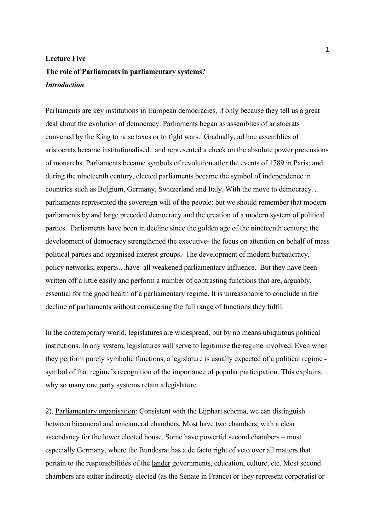## **Lecture Five The role of Parliaments in parliamentary systems?** *Introduction*

Parliaments are key institutions in European democracies, if only because they tell us a great deal about the evolution of democracy. Parliaments began as assemblies of aristocrats convened by the King to raise taxes or to fight wars. Gradually, ad hoc assemblies of aristocrats became institutionalised.. and represented a check on the absolute power pretensions of monarchs. Parliaments became symbols of revolution after the events of 1789 in Paris; and during the nineteenth century, elected parliaments became the symbol of independence in countries such as Belgium, Germany, Switzerland and Italy. With the move to democracy… parliaments represented the sovereign will of the people: but we should remember that modern parliaments by and large preceded democracy and the creation of a modern system of political parties. Parliaments have been in decline since the golden age of the nineteenth century; the development of democracy strengthened the executive- the focus on attention on behalf of mass political parties and organised interest groups. The development of modern bureaucracy, policy networks, experts…have all weakened parliamentary influence. But they have been written off a little easily and perform a number of contrasting functions that are, arguably, essential for the good health of a parliamentary regime. It is unreasonable to conclude in the decline of parliaments without considering the full range of functions they fulfil.

In the contemporary world, legislatures are widespread, but by no means ubiquitous political institutions. In any system, legislatures will serve to legitimise the regime involved. Even when they perform purely symbolic functions, a legislature is usually expected of a political regime symbol of that regime's recognition of the importance of popular participation. This explains why so many one party systems retain a legislature.

2). Parliamentary organisation: Consistent with the Lijphart schema, we can distinguish between bicameral and unicameral chambers. Most have two chambers, with a clear ascendancy for the lower elected house. Some have powerful second chambers – most especially Germany, where the Bundesrat has a de facto right of veto over all matters that pertain to the responsibilities of the lander governments, education, culture, etc. Most second chambers are either indirectly elected (as the Senate in France) or they represent corporatist or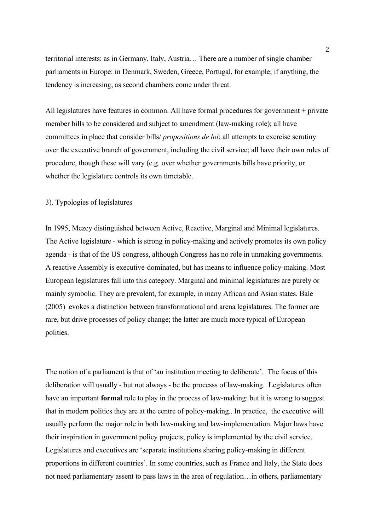territorial interests: as in Germany, Italy, Austria… There are a number of single chamber parliaments in Europe: in Denmark, Sweden, Greece, Portugal, for example; if anything, the tendency is increasing, as second chambers come under threat.

All legislatures have features in common. All have formal procedures for government + private member bills to be considered and subject to amendment (law-making role); all have committees in place that consider bills/ *propositions de loi*; all attempts to exercise scrutiny over the executive branch of government, including the civil service; all have their own rules of procedure, though these will vary (e.g. over whether governments bills have priority, or whether the legislature controls its own timetable.

## 3). Typologies of legislatures

In 1995, Mezey distinguished between Active, Reactive, Marginal and Minimal legislatures. The Active legislature - which is strong in policy-making and actively promotes its own policy agenda - is that of the US congress, although Congress has no role in unmaking governments. A reactive Assembly is executive-dominated, but has means to influence policy-making. Most European legislatures fall into this category. Marginal and minimal legislatures are purely or mainly symbolic. They are prevalent, for example, in many African and Asian states. Bale (2005) evokes a distinction between transformational and arena legislatures. The former are rare, but drive processes of policy change; the latter are much more typical of European polities.

The notion of a parliament is that of 'an institution meeting to deliberate'. The focus of this deliberation will usually - but not always - be the processs of law-making. Legislatures often have an important **formal** role to play in the process of law-making: but it is wrong to suggest that in modern polities they are at the centre of policy-making.. In practice, the executive will usually perform the major role in both law-making and law-implementation. Major laws have their inspiration in government policy projects; policy is implemented by the civil service. Legislatures and executives are 'separate institutions sharing policy-making in different proportions in different countries'. In some countries, such as France and Italy, the State does not need parliamentary assent to pass laws in the area of regulation…in others, parliamentary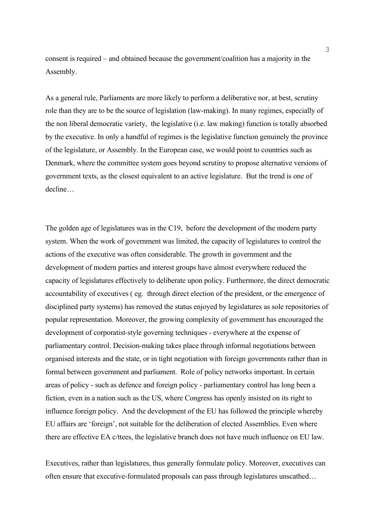consent is required – and obtained because the government/coalition has a majority in the Assembly.

As a general rule, Parliaments are more likely to perform a deliberative nor, at best, scrutiny role than they are to be the source of legislation (law-making). In many regimes, especially of the non liberal democratic variety, the legislative (i.e. law making) function is totally absorbed by the executive. In only a handful of regimes is the legislative function genuinely the province of the legislature, or Assembly. In the European case, we would point to countries such as Denmark, where the committee system goes beyond scrutiny to propose alternative versions of government texts, as the closest equivalent to an active legislature. But the trend is one of decline…

The golden age of legislatures was in the C19, before the development of the modern party system. When the work of government was limited, the capacity of legislatures to control the actions of the executive was often considerable. The growth in government and the development of modern parties and interest groups have almost everywhere reduced the capacity of legislatures effectively to deliberate upon policy. Furthermore, the direct democratic accountability of executives ( eg. through direct election of the president, or the emergence of disciplined party systems) has removed the status enjoyed by legislatures as sole repositories of popular representation. Moreover, the growing complexity of government has encouraged the development of corporatist-style governing techniques - everywhere at the expense of parliamentary control. Decision-making takes place through informal negotiations between organised interests and the state, or in tight negotiation with foreign governments rather than in formal between government and parliament. Role of policy networks important. In certain areas of policy - such as defence and foreign policy - parliamentary control has long been a fiction, even in a nation such as the US, where Congress has openly insisted on its right to influence foreign policy. And the development of the EU has followed the principle whereby EU affairs are 'foreign', not suitable for the deliberation of elected Assemblies. Even where there are effective EA c/ttees, the legislative branch does not have much influence on EU law.

Executives, rather than legislatures, thus generally formulate policy. Moreover, executives can often ensure that executive-formulated proposals can pass through legislatures unscathed…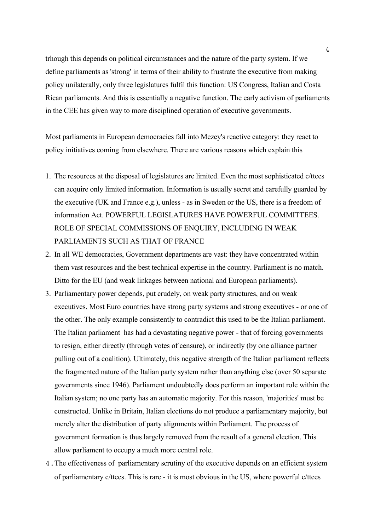trhough this depends on political circumstances and the nature of the party system. If we define parliaments as 'strong' in terms of their ability to frustrate the executive from making policy unilaterally, only three legislatures fulfil this function: US Congress, Italian and Costa Rican parliaments. And this is essentially a negative function. The early activism of parliaments in the CEE has given way to more disciplined operation of executive governments.

Most parliaments in European democracies fall into Mezey's reactive category: they react to policy initiatives coming from elsewhere. There are various reasons which explain this

- 1. The resources at the disposal of legislatures are limited. Even the most sophisticated c/ttees can acquire only limited information. Information is usually secret and carefully guarded by the executive (UK and France e.g.), unless - as in Sweden or the US, there is a freedom of information Act. POWERFUL LEGISLATURES HAVE POWERFUL COMMITTEES. ROLE OF SPECIAL COMMISSIONS OF ENQUIRY, INCLUDING IN WEAK PARLIAMENTS SUCH AS THAT OF FRANCE
- 2. In all WE democracies, Government departments are vast: they have concentrated within them vast resources and the best technical expertise in the country. Parliament is no match. Ditto for the EU (and weak linkages between national and European parliaments).
- 3. Parliamentary power depends, put crudely, on weak party structures, and on weak executives. Most Euro countries have strong party systems and strong executives - or one of the other. The only example consistently to contradict this used to be the Italian parliament. The Italian parliament has had a devastating negative power - that of forcing governments to resign, either directly (through votes of censure), or indirectly (by one alliance partner pulling out of a coalition). Ultimately, this negative strength of the Italian parliament reflects the fragmented nature of the Italian party system rather than anything else (over 50 separate governments since 1946). Parliament undoubtedly does perform an important role within the Italian system; no one party has an automatic majority. For this reason, 'majorities' must be constructed. Unlike in Britain, Italian elections do not produce a parliamentary majority, but merely alter the distribution of party alignments within Parliament. The process of government formation is thus largely removed from the result of a general election. This allow parliament to occupy a much more central role.
- 4.The effectiveness of parliamentary scrutiny of the executive depends on an efficient system of parliamentary c/ttees. This is rare - it is most obvious in the US, where powerful c/ttees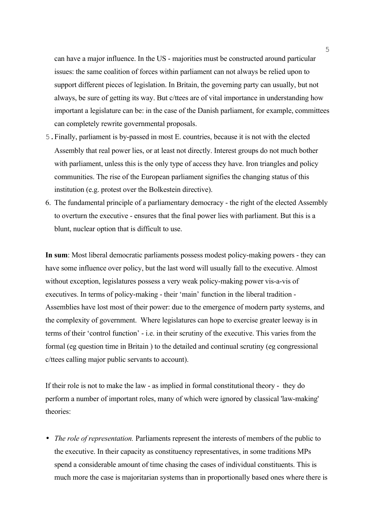can have a major influence. In the US - majorities must be constructed around particular issues: the same coalition of forces within parliament can not always be relied upon to support different pieces of legislation. In Britain, the governing party can usually, but not always, be sure of getting its way. But c/ttees are of vital importance in understanding how important a legislature can be: in the case of the Danish parliament, for example, committees can completely rewrite governmental proposals.

- 5.Finally, parliament is by-passed in most E. countries, because it is not with the elected Assembly that real power lies, or at least not directly. Interest groups do not much bother with parliament, unless this is the only type of access they have. Iron triangles and policy communities. The rise of the European parliament signifies the changing status of this institution (e.g. protest over the Bolkestein directive).
- 6. The fundamental principle of a parliamentary democracy the right of the elected Assembly to overturn the executive - ensures that the final power lies with parliament. But this is a blunt, nuclear option that is difficult to use.

**In sum**: Most liberal democratic parliaments possess modest policy-making powers - they can have some influence over policy, but the last word will usually fall to the executive. Almost without exception, legislatures possess a very weak policy-making power vis-a-vis of executives. In terms of policy-making - their 'main' function in the liberal tradition - Assemblies have lost most of their power: due to the emergence of modern party systems, and the complexity of government. Where legislatures can hope to exercise greater leeway is in terms of their 'control function' - i.e. in their scrutiny of the executive. This varies from the formal (eg question time in Britain ) to the detailed and continual scrutiny (eg congressional c/ttees calling major public servants to account).

If their role is not to make the law - as implied in formal constitutional theory - they do perform a number of important roles, many of which were ignored by classical 'law-making' theories:

• *The role of representation.* Parliaments represent the interests of members of the public to the executive. In their capacity as constituency representatives, in some traditions MPs spend a considerable amount of time chasing the cases of individual constituents. This is much more the case is majoritarian systems than in proportionally based ones where there is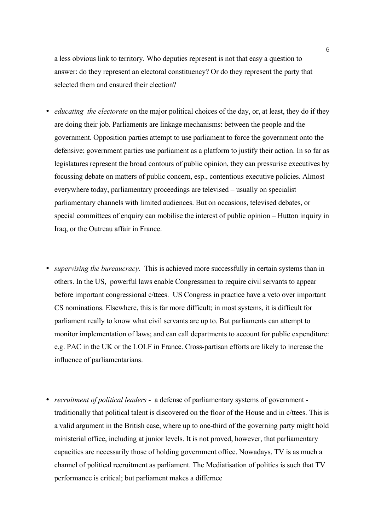a less obvious link to territory. Who deputies represent is not that easy a question to answer: do they represent an electoral constituency? Or do they represent the party that selected them and ensured their election?

- *educating the electorate* on the major political choices of the day, or, at least, they do if they are doing their job. Parliaments are linkage mechanisms: between the people and the government. Opposition parties attempt to use parliament to force the government onto the defensive; government parties use parliament as a platform to justify their action. In so far as legislatures represent the broad contours of public opinion, they can pressurise executives by focussing debate on matters of public concern, esp., contentious executive policies. Almost everywhere today, parliamentary proceedings are televised – usually on specialist parliamentary channels with limited audiences. But on occasions, televised debates, or special committees of enquiry can mobilise the interest of public opinion – Hutton inquiry in Iraq, or the Outreau affair in France.
- *supervising the bureaucracy*. This is achieved more successfully in certain systems than in others. In the US, powerful laws enable Congressmen to require civil servants to appear before important congressional c/ttees. US Congress in practice have a veto over important CS nominations. Elsewhere, this is far more difficult; in most systems, it is difficult for parliament really to know what civil servants are up to. But parliaments can attempt to monitor implementation of laws; and can call departments to account for public expenditure: e.g. PAC in the UK or the LOLF in France. Cross-partisan efforts are likely to increase the influence of parliamentarians.
- *recruitment of political leaders* a defense of parliamentary systems of government traditionally that political talent is discovered on the floor of the House and in c/ttees. This is a valid argument in the British case, where up to one-third of the governing party might hold ministerial office, including at junior levels. It is not proved, however, that parliamentary capacities are necessarily those of holding government office. Nowadays, TV is as much a channel of political recruitment as parliament. The Mediatisation of politics is such that TV performance is critical; but parliament makes a differnce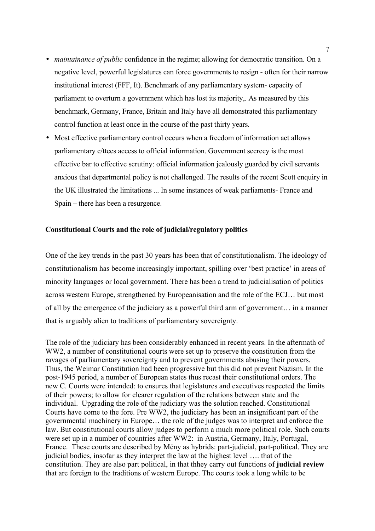- *maintainance of public* confidence in the regime; allowing for democratic transition. On a negative level, powerful legislatures can force governments to resign - often for their narrow institutional interest (FFF, It). Benchmark of any parliamentary system- capacity of parliament to overturn a government which has lost its majority,. As measured by this benchmark, Germany, France, Britain and Italy have all demonstrated this parliamentary control function at least once in the course of the past thirty years.
- Most effective parliamentary control occurs when a freedom of information act allows parliamentary c/ttees access to official information. Government secrecy is the most effective bar to effective scrutiny: official information jealously guarded by civil servants anxious that departmental policy is not challenged. The results of the recent Scott enquiry in the UK illustrated the limitations ... In some instances of weak parliaments- France and Spain – there has been a resurgence.

## **Constitutional Courts and the role of judicial/regulatory politics**

One of the key trends in the past 30 years has been that of constitutionalism. The ideology of constitutionalism has become increasingly important, spilling over 'best practice' in areas of minority languages or local government. There has been a trend to judicialisation of politics across western Europe, strengthened by Europeanisation and the role of the ECJ… but most of all by the emergence of the judiciary as a powerful third arm of government… in a manner that is arguably alien to traditions of parliamentary sovereignty.

The role of the judiciary has been considerably enhanced in recent years. In the aftermath of WW2, a number of constitutional courts were set up to preserve the constitution from the ravages of parliamentary sovereignty and to prevent governments abusing their powers. Thus, the Weimar Constitution had been progressive but this did not prevent Nazism. In the post-1945 period, a number of European states thus recast their constitutional orders. The new C. Courts were intended: to ensures that legislatures and executives respected the limits of their powers; to allow for clearer regulation of the relations between state and the individual. Upgrading the role of the judiciary was the solution reached. Constitutional Courts have come to the fore. Pre WW2, the judiciary has been an insignificant part of the governmental machinery in Europe… the role of the judges was to interpret and enforce the law. But constitutional courts allow judges to perform a much more political role. Such courts were set up in a number of countries after WW2: in Austria, Germany, Italy, Portugal, France. These courts are described by Mény as hybrids: part-judicial, part-political. They are judicial bodies, insofar as they interpret the law at the highest level …. that of the constitution. They are also part political, in that thhey carry out functions of **judicial review** that are foreign to the traditions of western Europe. The courts took a long while to be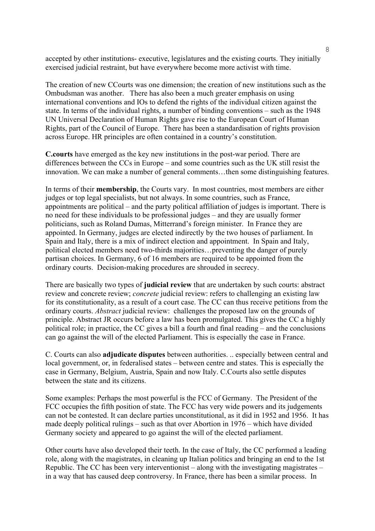accepted by other institutions- executive, legislatures and the existing courts. They initially exercised judicial restraint, but have everywhere become more activist with time.

The creation of new CCourts was one dimension; the creation of new institutions such as the Ombudsman was another. There has also been a much greater emphasis on using international conventions and IOs to defend the rights of the individual citizen against the state. In terms of the individual rights, a number of binding conventions – such as the 1948 UN Universal Declaration of Human Rights gave rise to the European Court of Human Rights, part of the Council of Europe. There has been a standardisation of rights provision across Europe. HR principles are often contained in a country's constitution.

**C.courts** have emerged as the key new institutions in the post-war period. There are differences between the CCs in Europe – and some countries such as the UK still resist the innovation. We can make a number of general comments…then some distinguishing features.

In terms of their **membership**, the Courts vary. In most countries, most members are either judges or top legal specialists, but not always. In some countries, such as France, appointments are political – and the party political affiliation of judges is important. There is no need for these individuals to be professional judges – and they are usually former politicians, such as Roland Dumas, Mitterrand's foreign minister. In France they are appointed. In Germany, judges are elected indirectly by the two houses of parliament. In Spain and Italy, there is a mix of indirect election and appointment. In Spain and Italy, political elected members need two-thirds majorities…preventing the danger of purely partisan choices. In Germany, 6 of 16 members are required to be appointed from the ordinary courts. Decision-making procedures are shrouded in secrecy.

There are basically two types of **judicial review** that are undertaken by such courts: abstract review and concrete review; *concrete* judicial review: refers to challenging an existing law for its constitutionality, as a result of a court case. The CC can thus receive petitions from the ordinary courts. *Abstract* judicial review: challenges the proposed law on the grounds of principle. Abstract JR occurs before a law has been promulgated. This gives the CC a highly political role; in practice, the CC gives a bill a fourth and final reading – and the conclusions can go against the will of the elected Parliament. This is especially the case in France.

C. Courts can also **adjudicate disputes** between authorities. .. especially between central and local government, or, in federalised states – between centre and states. This is especially the case in Germany, Belgium, Austria, Spain and now Italy. C.Courts also settle disputes between the state and its citizens.

Some examples: Perhaps the most powerful is the FCC of Germany. The President of the FCC occupies the fifth position of state. The FCC has very wide powers and its judgements can not be contested. It can declare parties unconstitutional, as it did in 1952 and 1956. It has made deeply political rulings – such as that over Abortion in 1976 – which have divided Germany society and appeared to go against the will of the elected parliament.

Other courts have also developed their teeth. In the case of Italy, the CC performed a leading role, along with the magistrates, in cleaning up Italian politics and bringing an end to the 1st Republic. The CC has been very interventionist – along with the investigating magistrates – in a way that has caused deep controversy. In France, there has been a similar process. In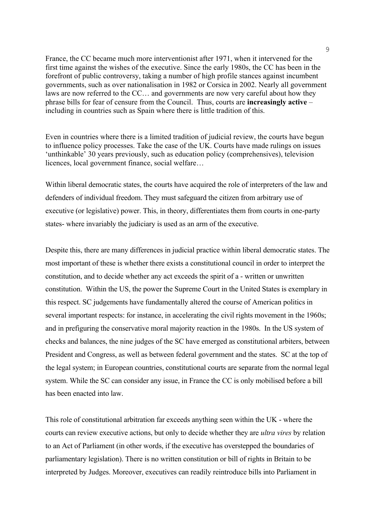France, the CC became much more interventionist after 1971, when it intervened for the first time against the wishes of the executive. Since the early 1980s, the CC has been in the forefront of public controversy, taking a number of high profile stances against incumbent governments, such as over nationalisation in 1982 or Corsica in 2002. Nearly all government laws are now referred to the CC… and governments are now very careful about how they phrase bills for fear of censure from the Council. Thus, courts are **increasingly active** – including in countries such as Spain where there is little tradition of this.

Even in countries where there is a limited tradition of judicial review, the courts have begun to influence policy processes. Take the case of the UK. Courts have made rulings on issues 'unthinkable' 30 years previously, such as education policy (comprehensives), television licences, local government finance, social welfare…

Within liberal democratic states, the courts have acquired the role of interpreters of the law and defenders of individual freedom. They must safeguard the citizen from arbitrary use of executive (or legislative) power. This, in theory, differentiates them from courts in one-party states- where invariably the judiciary is used as an arm of the executive.

Despite this, there are many differences in judicial practice within liberal democratic states. The most important of these is whether there exists a constitutional council in order to interpret the constitution, and to decide whether any act exceeds the spirit of a - written or unwritten constitution. Within the US, the power the Supreme Court in the United States is exemplary in this respect. SC judgements have fundamentally altered the course of American politics in several important respects: for instance, in accelerating the civil rights movement in the 1960s; and in prefiguring the conservative moral majority reaction in the 1980s. In the US system of checks and balances, the nine judges of the SC have emerged as constitutional arbiters, between President and Congress, as well as between federal government and the states. SC at the top of the legal system; in European countries, constitutional courts are separate from the normal legal system. While the SC can consider any issue, in France the CC is only mobilised before a bill has been enacted into law.

This role of constitutional arbitration far exceeds anything seen within the UK - where the courts can review executive actions, but only to decide whether they are *ultra vires* by relation to an Act of Parliament (in other words, if the executive has overstepped the boundaries of parliamentary legislation). There is no written constitution or bill of rights in Britain to be interpreted by Judges. Moreover, executives can readily reintroduce bills into Parliament in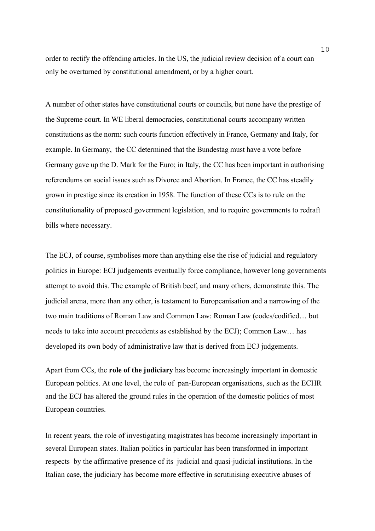order to rectify the offending articles. In the US, the judicial review decision of a court can only be overturned by constitutional amendment, or by a higher court.

A number of other states have constitutional courts or councils, but none have the prestige of the Supreme court. In WE liberal democracies, constitutional courts accompany written constitutions as the norm: such courts function effectively in France, Germany and Italy, for example. In Germany, the CC determined that the Bundestag must have a vote before Germany gave up the D. Mark for the Euro; in Italy, the CC has been important in authorising referendums on social issues such as Divorce and Abortion. In France, the CC has steadily grown in prestige since its creation in 1958. The function of these CCs is to rule on the constitutionality of proposed government legislation, and to require governments to redraft bills where necessary.

The ECJ, of course, symbolises more than anything else the rise of judicial and regulatory politics in Europe: ECJ judgements eventually force compliance, however long governments attempt to avoid this. The example of British beef, and many others, demonstrate this. The judicial arena, more than any other, is testament to Europeanisation and a narrowing of the two main traditions of Roman Law and Common Law: Roman Law (codes/codified… but needs to take into account precedents as established by the ECJ); Common Law… has developed its own body of administrative law that is derived from ECJ judgements.

Apart from CCs, the **role of the judiciary** has become increasingly important in domestic European politics. At one level, the role of pan-European organisations, such as the ECHR and the ECJ has altered the ground rules in the operation of the domestic politics of most European countries.

In recent years, the role of investigating magistrates has become increasingly important in several European states. Italian politics in particular has been transformed in important respects by the affirmative presence of its judicial and quasi-judicial institutions. In the Italian case, the judiciary has become more effective in scrutinising executive abuses of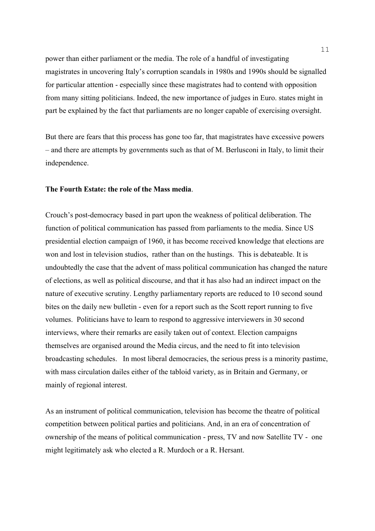power than either parliament or the media. The role of a handful of investigating magistrates in uncovering Italy's corruption scandals in 1980s and 1990s should be signalled for particular attention - especially since these magistrates had to contend with opposition from many sitting politicians. Indeed, the new importance of judges in Euro. states might in part be explained by the fact that parliaments are no longer capable of exercising oversight.

But there are fears that this process has gone too far, that magistrates have excessive powers – and there are attempts by governments such as that of M. Berlusconi in Italy, to limit their independence.

## **The Fourth Estate: the role of the Mass media**.

Crouch's post-democracy based in part upon the weakness of political deliberation. The function of political communication has passed from parliaments to the media. Since US presidential election campaign of 1960, it has become received knowledge that elections are won and lost in television studios, rather than on the hustings. This is debateable. It is undoubtedly the case that the advent of mass political communication has changed the nature of elections, as well as political discourse, and that it has also had an indirect impact on the nature of executive scrutiny. Lengthy parliamentary reports are reduced to 10 second sound bites on the daily new bulletin - even for a report such as the Scott report running to five volumes. Politicians have to learn to respond to aggressive interviewers in 30 second interviews, where their remarks are easily taken out of context. Election campaigns themselves are organised around the Media circus, and the need to fit into television broadcasting schedules. In most liberal democracies, the serious press is a minority pastime, with mass circulation dailes either of the tabloid variety, as in Britain and Germany, or mainly of regional interest.

As an instrument of political communication, television has become the theatre of political competition between political parties and politicians. And, in an era of concentration of ownership of the means of political communication - press, TV and now Satellite TV - one might legitimately ask who elected a R. Murdoch or a R. Hersant.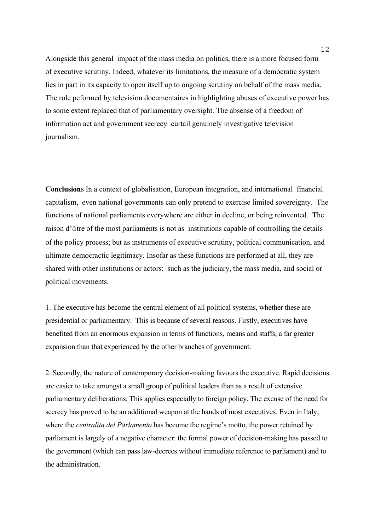Alongside this general impact of the mass media on politics, there is a more focused form of executive scrutiny. Indeed, whatever its limitations, the measure of a democratic system lies in part in its capacity to open itself up to ongoing scrutiny on behalf of the mass media. The role peformed by television documentaires in highlighting abuses of executive power has to some extent replaced that of parliamentary oversight. The absense of a freedom of information act and government secrecy curtail genuinely investigative television journalism.

**Conclusion**s In a context of globalisation, European integration, and international financial capitalism, even national governments can only pretend to exercise limited sovereignty. The functions of national parliaments everywhere are either in decline, or being reinvented. The raison d'être of the most parliaments is not as institutions capable of controlling the details of the policy process; but as instruments of executive scrutiny, political communication, and ultimate democractic legitimacy. Insofar as these functions are performed at all, they are shared with other institutions or actors: such as the judiciary, the mass media, and social or political movements.

1. The executive has become the central element of all political systems, whether these are presidential or parliamentary. This is because of several reasons. Firstly, executives have benefited from an enormous expansion in terms of functions, means and staffs, a far greater expansion than that experienced by the other branches of government.

2. Secondly, the nature of contemporary decision-making favours the executive. Rapid decisions are easier to take amongst a small group of political leaders than as a result of extensive parliamentary deliberations. This applies especially to foreign policy. The excuse of the need for secrecy has proved to be an additional weapon at the hands of most executives. Even in Italy, where the *centralita del Parlamento* has become the regime's motto, the power retained by parliament is largely of a negative character: the formal power of decision-making has passed to the government (which can pass law-decrees without immediate reference to parliament) and to the administration.